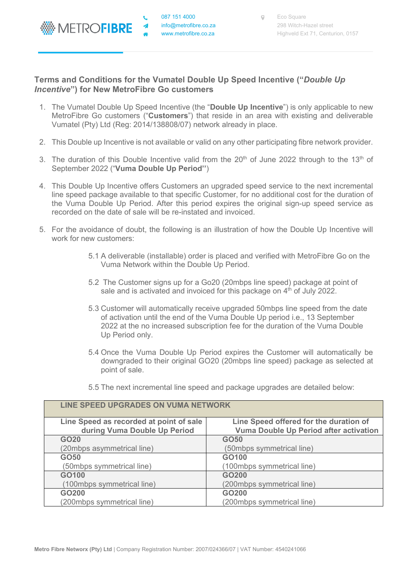

## **Terms and Conditions for the Vumatel Double Up Speed Incentive ("***Double Up Incentive***") for New MetroFibre Go customers**

- 1. The Vumatel Double Up Speed Incentive (the "**Double Up Incentive**") is only applicable to new MetroFibre Go customers ("**Customers**") that reside in an area with existing and deliverable Vumatel (Pty) Ltd (Reg: 2014/138808/07) network already in place.
- 2. This Double up Incentive is not available or valid on any other participating fibre network provider.
- 3. The duration of this Double Incentive valid from the 20<sup>th</sup> of June 2022 through to the 13<sup>th</sup> of September 2022 ("**Vuma Double Up Period''**)
- 4. This Double Up Incentive offers Customers an upgraded speed service to the next incremental line speed package available to that specific Customer, for no additional cost for the duration of the Vuma Double Up Period. After this period expires the original sign-up speed service as recorded on the date of sale will be re-instated and invoiced.
- 5. For the avoidance of doubt, the following is an illustration of how the Double Up Incentive will work for new customers:
	- 5.1 A deliverable (installable) order is placed and verified with MetroFibre Go on the Vuma Network within the Double Up Period.
	- 5.2 The Customer signs up for a Go20 (20mbps line speed) package at point of sale and is activated and invoiced for this package on  $4<sup>th</sup>$  of July 2022.
	- 5.3 Customer will automatically receive upgraded 50mbps line speed from the date of activation until the end of the Vuma Double Up period i.e., 13 September 2022 at the no increased subscription fee for the duration of the Vuma Double Up Period only.
	- 5.4 Once the Vuma Double Up Period expires the Customer will automatically be downgraded to their original GO20 (20mbps line speed) package as selected at point of sale.
	- 5.5 The next incremental line speed and package upgrades are detailed below:

| LINE SPEED UPGRADES ON VUMA NETWORK     |                                        |
|-----------------------------------------|----------------------------------------|
| Line Speed as recorded at point of sale | Line Speed offered for the duration of |
| during Vuma Double Up Period            | Vuma Double Up Period after activation |
| GO <sub>20</sub>                        | <b>GO50</b>                            |
| (20mbps asymmetrical line)              | (50mbps symmetrical line)              |
| GO <sub>50</sub>                        | GO100                                  |
| (50mbps symmetrical line)               | (100mbps symmetrical line)             |
| GO100                                   | GO200                                  |
| (100mbps symmetrical line)              | (200mbps symmetrical line)             |
| GO200                                   | GO200                                  |
| (200mbps symmetrical line)              | (200mbps symmetrical line)             |

## **LINE SPEED UPGRADES ON VUMA NETWORK**